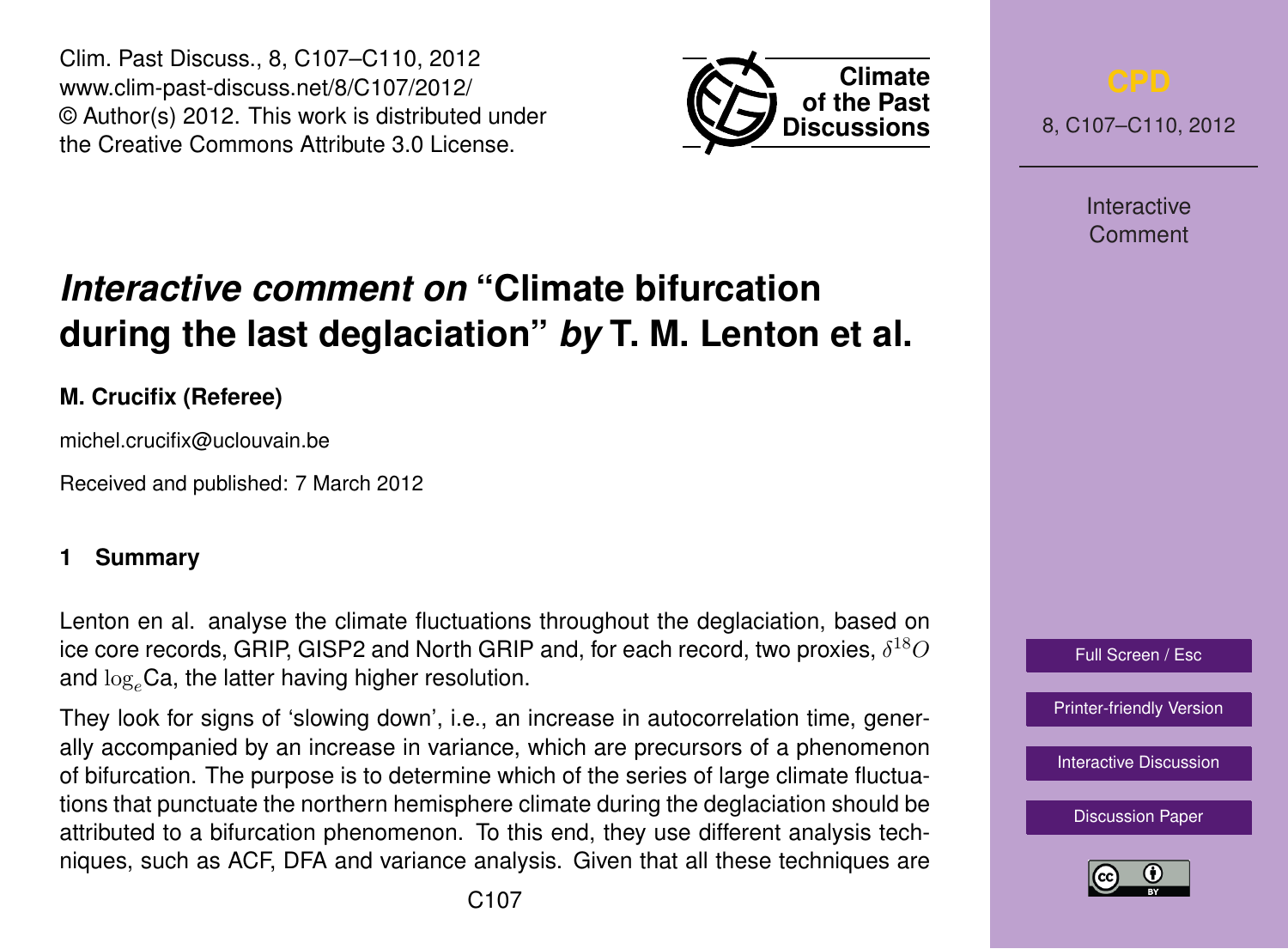Clim. Past Discuss., 8, C107–C110, 2012 www.clim-past-discuss.net/8/C107/2012/ © Author(s) 2012. This work is distributed under the Creative Commons Attribute 3.0 License.



8, C107–C110, 2012

Interactive Comment

# Full Screen / Esc

[Printer-friendly Version](http://www.clim-past-discuss.net/8/C107/2012/cpd-8-C107-2012-print.pdf)

[Interactive Discussion](http://www.clim-past-discuss.net/8/321/2012/cpd-8-321-2012-discussion.html)

[Discussion Paper](http://www.clim-past-discuss.net/8/321/2012/cpd-8-321-2012.pdf)



## *Interactive comment on* **"Climate bifurcation during the last deglaciation"** *by* **T. M. Lenton et al.**

### **M. Crucifix (Referee)**

michel.crucifix@uclouvain.be

Received and published: 7 March 2012

### **1 Summary**

Lenton en al. analyse the climate fluctuations throughout the deglaciation, based on ice core records, GRIP, GISP2 and North GRIP and, for each record, two proxies,  $\delta^{18}O$ and  $\log_e$ Ca, the latter having higher resolution.

They look for signs of 'slowing down', i.e., an increase in autocorrelation time, generally accompanied by an increase in variance, which are precursors of a phenomenon of bifurcation. The purpose is to determine which of the series of large climate fluctuations that punctuate the northern hemisphere climate during the deglaciation should be attributed to a bifurcation phenomenon. To this end, they use different analysis techniques, such as ACF, DFA and variance analysis. Given that all these techniques are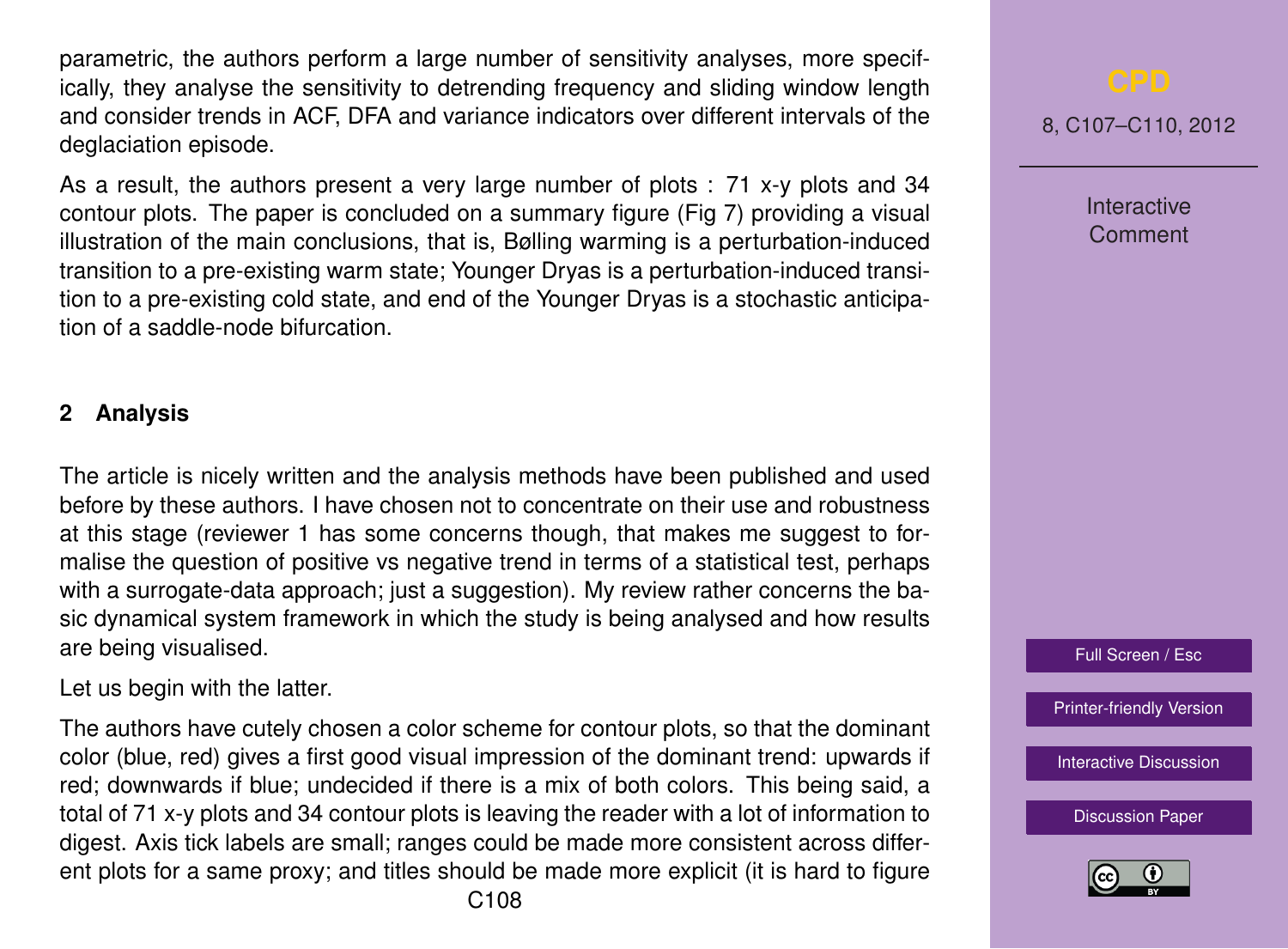parametric, the authors perform a large number of sensitivity analyses, more specifically, they analyse the sensitivity to detrending frequency and sliding window length and consider trends in ACF, DFA and variance indicators over different intervals of the deglaciation episode.

As a result, the authors present a very large number of plots : 71 x-y plots and 34 contour plots. The paper is concluded on a summary figure (Fig 7) providing a visual illustration of the main conclusions, that is, Bølling warming is a perturbation-induced transition to a pre-existing warm state; Younger Dryas is a perturbation-induced transition to a pre-existing cold state, and end of the Younger Dryas is a stochastic anticipation of a saddle-node bifurcation.

### **2 Analysis**

The article is nicely written and the analysis methods have been published and used before by these authors. I have chosen not to concentrate on their use and robustness at this stage (reviewer 1 has some concerns though, that makes me suggest to formalise the question of positive vs negative trend in terms of a statistical test, perhaps with a surrogate-data approach; just a suggestion). My review rather concerns the basic dynamical system framework in which the study is being analysed and how results are being visualised.

Let us begin with the latter.

The authors have cutely chosen a color scheme for contour plots, so that the dominant color (blue, red) gives a first good visual impression of the dominant trend: upwards if red; downwards if blue; undecided if there is a mix of both colors. This being said, a total of 71 x-y plots and 34 contour plots is leaving the reader with a lot of information to digest. Axis tick labels are small; ranges could be made more consistent across different plots for a same proxy; and titles should be made more explicit (it is hard to figure

8, C107–C110, 2012

Interactive Comment

Full Screen / Esc

[Printer-friendly Version](http://www.clim-past-discuss.net/8/C107/2012/cpd-8-C107-2012-print.pdf)

[Interactive Discussion](http://www.clim-past-discuss.net/8/321/2012/cpd-8-321-2012-discussion.html)

[Discussion Paper](http://www.clim-past-discuss.net/8/321/2012/cpd-8-321-2012.pdf)

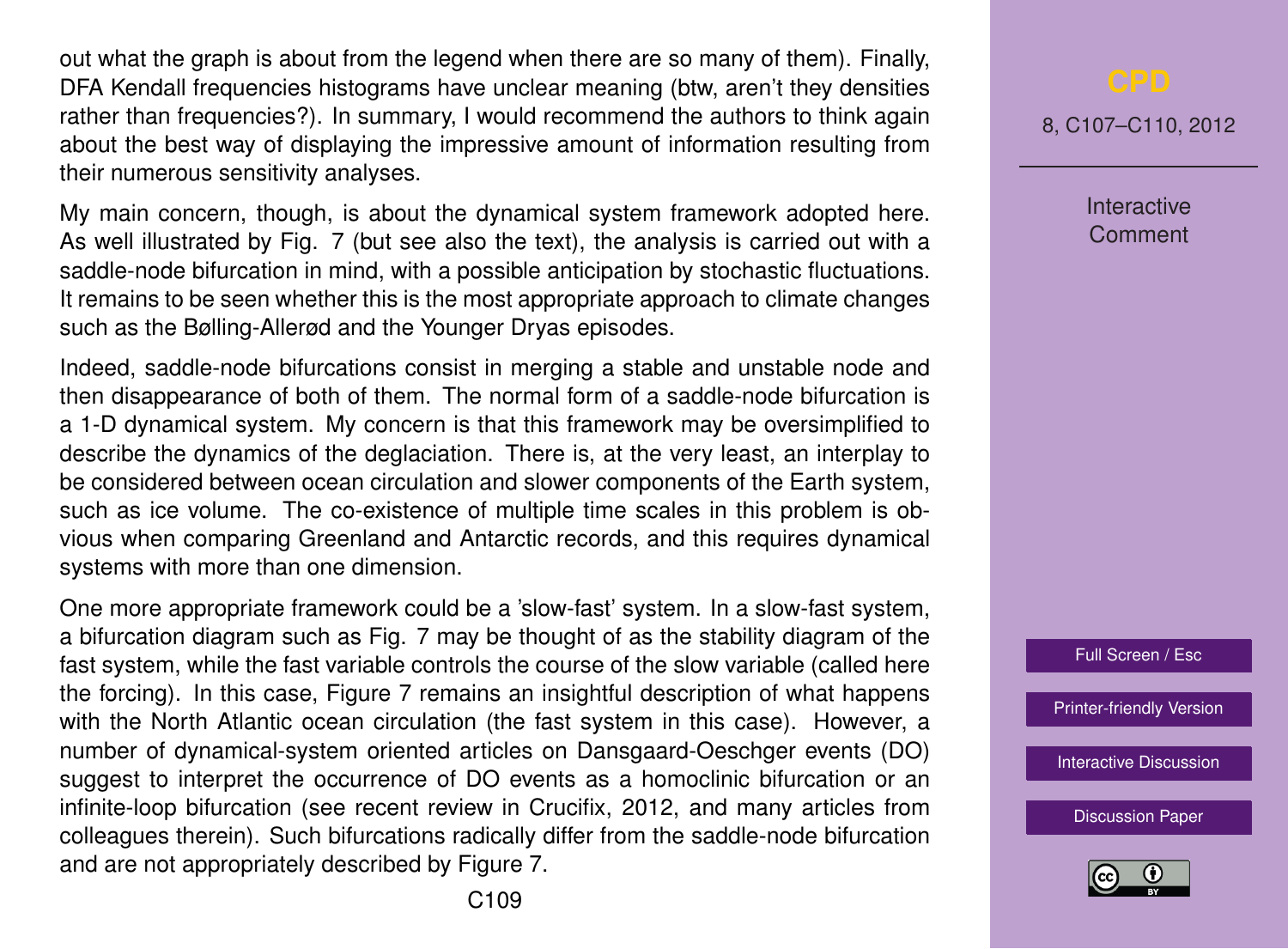out what the graph is about from the legend when there are so many of them). Finally, DFA Kendall frequencies histograms have unclear meaning (btw, aren't they densities rather than frequencies?). In summary, I would recommend the authors to think again about the best way of displaying the impressive amount of information resulting from their numerous sensitivity analyses.

My main concern, though, is about the dynamical system framework adopted here. As well illustrated by Fig. 7 (but see also the text), the analysis is carried out with a saddle-node bifurcation in mind, with a possible anticipation by stochastic fluctuations. It remains to be seen whether this is the most appropriate approach to climate changes such as the Bølling-Allerød and the Younger Dryas episodes.

Indeed, saddle-node bifurcations consist in merging a stable and unstable node and then disappearance of both of them. The normal form of a saddle-node bifurcation is a 1-D dynamical system. My concern is that this framework may be oversimplified to describe the dynamics of the deglaciation. There is, at the very least, an interplay to be considered between ocean circulation and slower components of the Earth system, such as ice volume. The co-existence of multiple time scales in this problem is obvious when comparing Greenland and Antarctic records, and this requires dynamical systems with more than one dimension.

One more appropriate framework could be a 'slow-fast' system. In a slow-fast system, a bifurcation diagram such as Fig. 7 may be thought of as the stability diagram of the fast system, while the fast variable controls the course of the slow variable (called here the forcing). In this case, Figure 7 remains an insightful description of what happens with the North Atlantic ocean circulation (the fast system in this case). However, a number of dynamical-system oriented articles on Dansgaard-Oeschger events (DO) suggest to interpret the occurrence of DO events as a homoclinic bifurcation or an infinite-loop bifurcation (see recent review in Crucifix, 2012, and many articles from colleagues therein). Such bifurcations radically differ from the saddle-node bifurcation and are not appropriately described by Figure 7.

8, C107–C110, 2012

**Interactive Comment** 



[Printer-friendly Version](http://www.clim-past-discuss.net/8/C107/2012/cpd-8-C107-2012-print.pdf)

[Interactive Discussion](http://www.clim-past-discuss.net/8/321/2012/cpd-8-321-2012-discussion.html)

[Discussion Paper](http://www.clim-past-discuss.net/8/321/2012/cpd-8-321-2012.pdf)